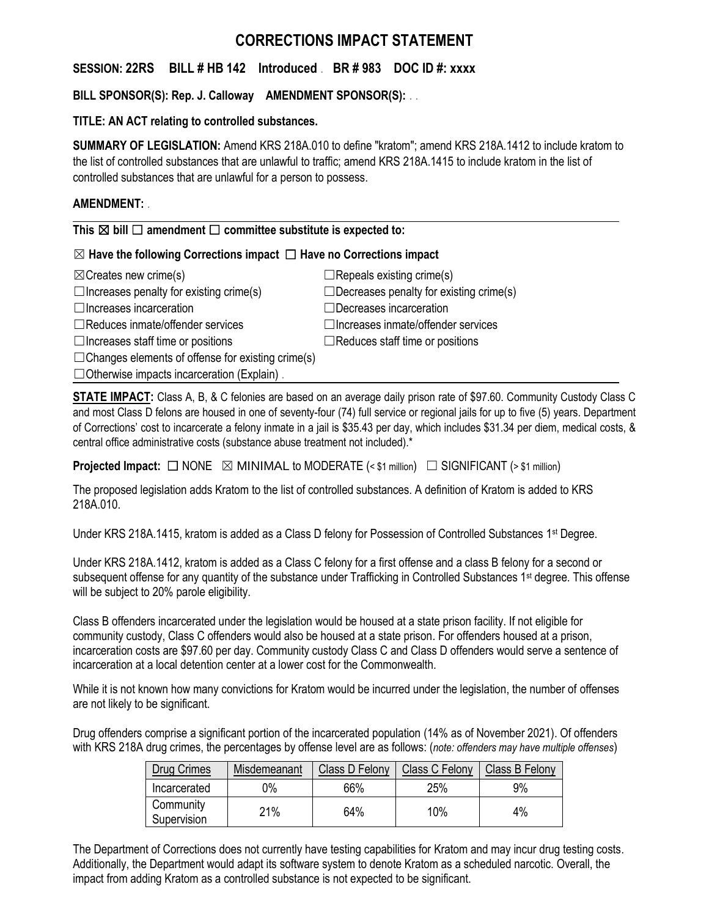# **CORRECTIONS IMPACT STATEMENT**

# **SESSION: 22RS BILL # HB 142 Introduced** . **BR # 983 DOC ID #: xxxx**

## **BILL SPONSOR(S): Rep. J. Calloway AMENDMENT SPONSOR(S):** . .

### **TITLE: AN ACT relating to controlled substances.**

**SUMMARY OF LEGISLATION:** Amend KRS 218A.010 to define "kratom"; amend KRS 218A.1412 to include kratom to the list of controlled substances that are unlawful to traffic; amend KRS 218A.1415 to include kratom in the list of controlled substances that are unlawful for a person to possess.

### **AMENDMENT:** .

**This** ☒ **bill** ☐ **amendment** ☐ **committee substitute is expected to:**

### ☒ **Have the following Corrections impact** ☐ **Have no Corrections impact**

| $\boxtimes$ Creates new crime(s)                         | $\Box$ Repeals existing crime(s)               |
|----------------------------------------------------------|------------------------------------------------|
| $\Box$ Increases penalty for existing crime(s)           | $\Box$ Decreases penalty for existing crime(s) |
| $\Box$ Increases incarceration                           | $\Box$ Decreases incarceration                 |
| $\Box$ Reduces inmate/offender services                  | $\Box$ Increases inmate/offender services      |
| $\Box$ Increases staff time or positions                 | $\Box$ Reduces staff time or positions         |
| $\Box$ Changes elements of offense for existing crime(s) |                                                |
| $\Box$ Otherwise impacts incarceration (Explain).        |                                                |

**STATE IMPACT:** Class A, B, & C felonies are based on an average daily prison rate of \$97.60. Community Custody Class C and most Class D felons are housed in one of seventy-four (74) full service or regional jails for up to five (5) years. Department of Corrections' cost to incarcerate a felony inmate in a jail is \$35.43 per day, which includes \$31.34 per diem, medical costs, & central office administrative costs (substance abuse treatment not included).\*

**Projected Impact:**  $\Box$  NONE  $\boxtimes$  MINIMAL to MODERATE (< \$1 million)  $\Box$  SIGNIFICANT (> \$1 million)

The proposed legislation adds Kratom to the list of controlled substances. A definition of Kratom is added to KRS 218A.010.

Under KRS 218A.1415, kratom is added as a Class D felony for Possession of Controlled Substances 1<sup>st</sup> Degree.

Under KRS 218A.1412, kratom is added as a Class C felony for a first offense and a class B felony for a second or subsequent offense for any quantity of the substance under Trafficking in Controlled Substances 1<sup>st</sup> degree. This offense will be subject to 20% parole eligibility.

Class B offenders incarcerated under the legislation would be housed at a state prison facility. If not eligible for community custody, Class C offenders would also be housed at a state prison. For offenders housed at a prison, incarceration costs are \$97.60 per day. Community custody Class C and Class D offenders would serve a sentence of incarceration at a local detention center at a lower cost for the Commonwealth.

While it is not known how many convictions for Kratom would be incurred under the legislation, the number of offenses are not likely to be significant.

Drug offenders comprise a significant portion of the incarcerated population (14% as of November 2021). Of offenders with KRS 218A drug crimes, the percentages by offense level are as follows: (*note: offenders may have multiple offenses*)

| Drug Crimes              | Misdemeanant | Class D Felony | Class C Felony | Class B Felony |
|--------------------------|--------------|----------------|----------------|----------------|
| Incarcerated             | 9%           | 66%            | 25%            | 9%             |
| Community<br>Supervision | 21%          | 64%            | 10%            | 4%             |

The Department of Corrections does not currently have testing capabilities for Kratom and may incur drug testing costs. Additionally, the Department would adapt its software system to denote Kratom as a scheduled narcotic. Overall, the impact from adding Kratom as a controlled substance is not expected to be significant.